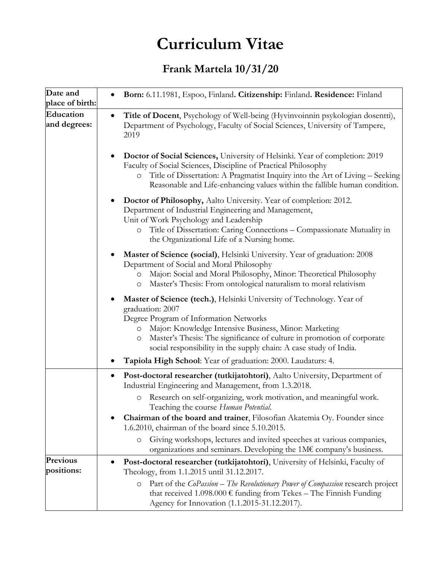## **Curriculum Vitae**

## **Frank Martela 10/31/20**

| Date and<br>place of birth: | Born: 6.11.1981, Espoo, Finland. Citizenship: Finland. Residence: Finland                                                                                                                                                                                                                                                                                         |
|-----------------------------|-------------------------------------------------------------------------------------------------------------------------------------------------------------------------------------------------------------------------------------------------------------------------------------------------------------------------------------------------------------------|
| Education<br>and degrees:   | Title of Docent, Psychology of Well-being (Hyvinvoinnin psykologian dosentti),<br>$\bullet$<br>Department of Psychology, Faculty of Social Sciences, University of Tampere,<br>2019                                                                                                                                                                               |
|                             | Doctor of Social Sciences, University of Helsinki. Year of completion: 2019<br>Faculty of Social Sciences, Discipline of Practical Philosophy<br>Title of Dissertation: A Pragmatist Inquiry into the Art of Living - Seeking<br>$\circ$<br>Reasonable and Life-enhancing values within the fallible human condition.                                             |
|                             | Doctor of Philosophy, Aalto University. Year of completion: 2012.<br>Department of Industrial Engineering and Management,<br>Unit of Work Psychology and Leadership<br>Title of Dissertation: Caring Connections - Compassionate Mutuality in<br>$\circ$<br>the Organizational Life of a Nursing home.                                                            |
|                             | Master of Science (social), Helsinki University. Year of graduation: 2008<br>Department of Social and Moral Philosophy<br>Major: Social and Moral Philosophy, Minor: Theoretical Philosophy<br>$\circ$<br>Master's Thesis: From ontological naturalism to moral relativism<br>O                                                                                   |
|                             | Master of Science (tech.), Helsinki University of Technology. Year of<br>graduation: 2007<br>Degree Program of Information Networks<br>Major: Knowledge Intensive Business, Minor: Marketing<br>$\circ$<br>Master's Thesis: The significance of culture in promotion of corporate<br>$\circ$<br>social responsibility in the supply chain: A case study of India. |
|                             | Tapiola High School: Year of graduation: 2000. Laudaturs: 4.                                                                                                                                                                                                                                                                                                      |
|                             | Post-doctoral researcher (tutkijatohtori), Aalto University, Department of<br>$\bullet$<br>Industrial Engineering and Management, from 1.3.2018.                                                                                                                                                                                                                  |
|                             | Research on self-organizing, work motivation, and meaningful work.<br>$\circ$<br>Teaching the course Human Potential.                                                                                                                                                                                                                                             |
|                             | Chairman of the board and trainer, Filosofian Akatemia Oy. Founder since<br>1.6.2010, chairman of the board since 5.10.2015.                                                                                                                                                                                                                                      |
|                             | Giving workshops, lectures and invited speeches at various companies,<br>$\circ$<br>organizations and seminars. Developing the 1M $\epsilon$ company's business.                                                                                                                                                                                                  |
| Previous<br>positions:      | Post-doctoral researcher (tutkijatohtori), University of Helsinki, Faculty of<br>Theology, from 1.1.2015 until 31.12.2017.                                                                                                                                                                                                                                        |
|                             | Part of the CoPassion - The Revolutionary Power of Compassion research project<br>$\circ$<br>that received $1.098.000 \text{ } \in$ funding from Tekes - The Finnish Funding<br>Agency for Innovation (1.1.2015-31.12.2017).                                                                                                                                      |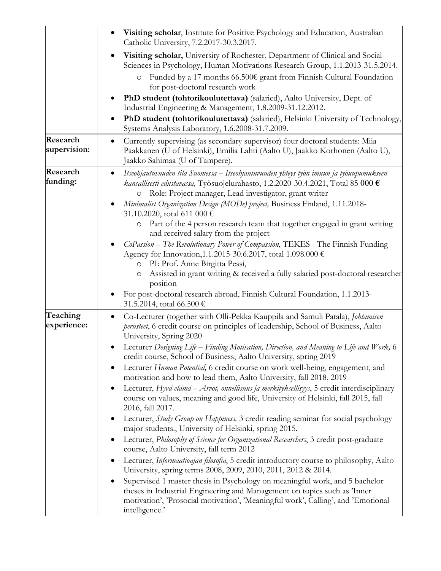|                          | $\bullet$                                                                                                                                                                                                                                                                                                                                                           |
|--------------------------|---------------------------------------------------------------------------------------------------------------------------------------------------------------------------------------------------------------------------------------------------------------------------------------------------------------------------------------------------------------------|
|                          | Visiting scholar, Institute for Positive Psychology and Education, Australian<br>Catholic University, 7.2.2017-30.3.2017.                                                                                                                                                                                                                                           |
|                          | Visiting scholar, University of Rochester, Department of Clinical and Social<br>Sciences in Psychology, Human Motivations Research Group, 1.1.2013-31.5.2014.                                                                                                                                                                                                       |
|                          | Funded by a 17 months 66.500 $\epsilon$ grant from Finnish Cultural Foundation<br>$\circ$<br>for post-doctoral research work                                                                                                                                                                                                                                        |
|                          | PhD student (tohtorikoulutettava) (salaried), Aalto University, Dept. of<br>Industrial Engineering & Management, 1.8.2009-31.12.2012.                                                                                                                                                                                                                               |
|                          | PhD student (tohtorikoulutettava) (salaried), Helsinki University of Technology,<br>$\bullet$<br>Systems Analysis Laboratory, 1.6.2008-31.7.2009.                                                                                                                                                                                                                   |
| Research<br>supervision: | Currently supervising (as secondary supervisor) four doctoral students: Miia<br>$\bullet$<br>Paakkanen (U of Helsinki), Emilia Lahti (Aalto U), Jaakko Korhonen (Aalto U),<br>Jaakko Sahimaa (U of Tampere).                                                                                                                                                        |
| Research<br>funding:     | Itseohjautuvuuden tila Suomessa – Itseohjautuvuuden yhteys työn imuun ja työuupumukseen<br>٠<br>kansallisesti edustavassa, Työsuojelurahasto, 1.2.2020-30.4.2021, Total 85 000 $\epsilon$<br>o Role: Project manager, Lead investigator, grant writer<br>Minimalist Organization Design (MODe) project, Business Finland, 1.11.2018-<br>31.10.2020, total 611 000 € |
|                          | Part of the 4 person research team that together engaged in grant writing<br>$\circ$<br>and received salary from the project                                                                                                                                                                                                                                        |
|                          | CoPassion - The Revolutionary Power of Compassion, TEKES - The Finnish Funding<br>Agency for Innovation, 1.1.2015-30.6.2017, total 1.098.000 €<br>PI: Prof. Anne Birgitta Pessi,<br>$\circ$<br>Assisted in grant writing & received a fully salaried post-doctoral researcher<br>$\circ$                                                                            |
|                          | position                                                                                                                                                                                                                                                                                                                                                            |
|                          | For post-doctoral research abroad, Finnish Cultural Foundation, 1.1.2013-<br>31.5.2014, total 66.500 €                                                                                                                                                                                                                                                              |
| Teaching<br>experience:  | Co-Lecturer (together with Olli-Pekka Kauppila and Samuli Patala), Johtamisen<br>perusteet, 6 credit course on principles of leadership, School of Business, Aalto<br>University, Spring 2020                                                                                                                                                                       |
|                          | • Lecturer Designing Life – Finding Motivation, Direction, and Meaning to Life and Work, 6<br>credit course, School of Business, Aalto University, spring 2019                                                                                                                                                                                                      |
|                          | Lecturer Human Potential, 6 credit course on work well-being, engagement, and<br>motivation and how to lead them, Aalto University, fall 2018, 2019                                                                                                                                                                                                                 |
|                          | Lecturer, Hyvä elämä - Arvot, onnellisuus ja merkityksellisyys, 5 credit interdisciplinary<br>٠<br>course on values, meaning and good life, University of Helsinki, fall 2015, fall<br>2016, fall 2017.                                                                                                                                                             |
|                          | Lecturer, Study Group on Happiness, 3 credit reading seminar for social psychology<br>major students., University of Helsinki, spring 2015.                                                                                                                                                                                                                         |
|                          | Lecturer, Philosophy of Science for Organizational Researchers, 3 credit post-graduate<br>course, Aalto University, fall term 2012                                                                                                                                                                                                                                  |
|                          | Lecturer, Informaatioajan filosofia, 5 credit introductory course to philosophy, Aalto<br>University, spring terms 2008, 2009, 2010, 2011, 2012 & 2014.                                                                                                                                                                                                             |
|                          | Supervised 1 master thesis in Psychology on meaningful work, and 5 bachelor<br>theses in Industrial Engineering and Management on topics such as 'Inner<br>motivation', 'Prosocial motivation', 'Meaningful work', Calling', and 'Emotional<br>intelligence.'                                                                                                       |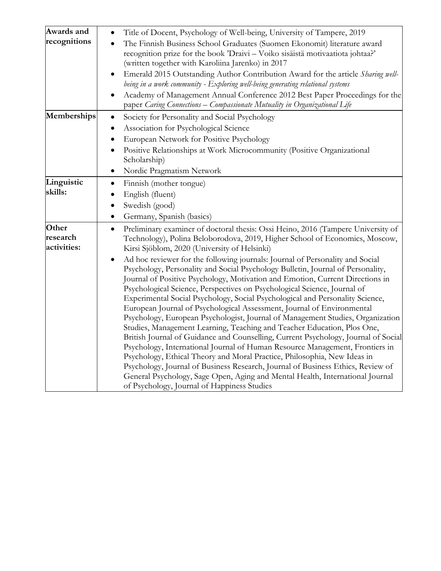| Awards and   | Title of Docent, Psychology of Well-being, University of Tampere, 2019<br>$\bullet$                                                                       |
|--------------|-----------------------------------------------------------------------------------------------------------------------------------------------------------|
| recognitions | The Finnish Business School Graduates (Suomen Ekonomit) literature award<br>$\bullet$                                                                     |
|              | recognition prize for the book 'Draivi - Voiko sisäistä motivaatiota johtaa?'                                                                             |
|              | (written together with Karoliina Jarenko) in 2017                                                                                                         |
|              | Emerald 2015 Outstanding Author Contribution Award for the article Sharing well-                                                                          |
|              | being in a work community - Exploring well-being generating relational systems                                                                            |
|              | Academy of Management Annual Conference 2012 Best Paper Proceedings for the<br>paper Caring Connections – Compassionate Mutuality in Organizational Life  |
| Memberships  | Society for Personality and Social Psychology<br>$\bullet$                                                                                                |
|              | Association for Psychological Science                                                                                                                     |
|              | European Network for Positive Psychology                                                                                                                  |
|              | Positive Relationships at Work Microcommunity (Positive Organizational<br>٠<br>Scholarship)                                                               |
|              | Nordic Pragmatism Network<br>$\bullet$                                                                                                                    |
| Linguistic   | Finnish (mother tongue)<br>$\bullet$                                                                                                                      |
| skills:      | English (fluent)<br>$\bullet$                                                                                                                             |
|              | Swedish (good)<br>٠                                                                                                                                       |
|              | Germany, Spanish (basics)<br>$\bullet$                                                                                                                    |
| Other        | Preliminary examiner of doctoral thesis: Ossi Heino, 2016 (Tampere University of<br>$\bullet$                                                             |
| research     | Technology), Polina Beloborodova, 2019, Higher School of Economics, Moscow,                                                                               |
| activities:  | Kirsi Sjöblom, 2020 (University of Helsinki)                                                                                                              |
|              | Ad hoc reviewer for the following journals: Journal of Personality and Social<br>٠                                                                        |
|              | Psychology, Personality and Social Psychology Bulletin, Journal of Personality,                                                                           |
|              | Journal of Positive Psychology, Motivation and Emotion, Current Directions in                                                                             |
|              | Psychological Science, Perspectives on Psychological Science, Journal of                                                                                  |
|              | Experimental Social Psychology, Social Psychological and Personality Science,                                                                             |
|              | European Journal of Psychological Assessment, Journal of Environmental                                                                                    |
|              | Psychology, European Psychologist, Journal of Management Studies, Organization<br>Studies, Management Learning, Teaching and Teacher Education, Plos One, |
|              | British Journal of Guidance and Counselling, Current Psychology, Journal of Social                                                                        |
|              | Psychology, International Journal of Human Resource Management, Frontiers in                                                                              |
|              | Psychology, Ethical Theory and Moral Practice, Philosophia, New Ideas in                                                                                  |
|              | Psychology, Journal of Business Research, Journal of Business Ethics, Review of                                                                           |
|              | General Psychology, Sage Open, Aging and Mental Health, International Journal                                                                             |
|              | of Psychology, Journal of Happiness Studies                                                                                                               |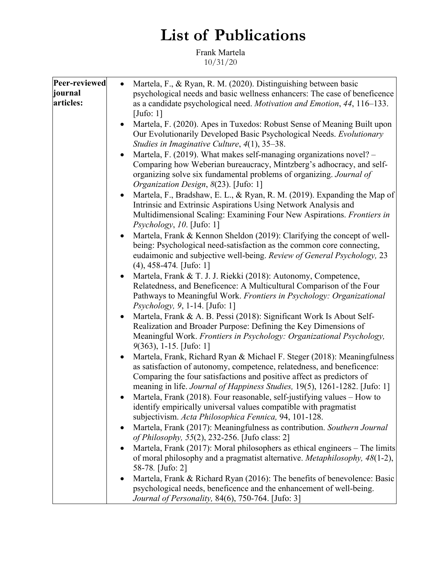## **List of Publications**

Frank Martela 10/31/20

| Peer-reviewed | Martela, F., & Ryan, R. M. (2020). Distinguishing between basic<br>$\bullet$         |
|---------------|--------------------------------------------------------------------------------------|
|               |                                                                                      |
| journal       | psychological needs and basic wellness enhancers: The case of beneficence            |
| articles:     | as a candidate psychological need. Motivation and Emotion, 44, 116–133.              |
|               | [Jufo: $1$ ]                                                                         |
|               | Martela, F. (2020). Apes in Tuxedos: Robust Sense of Meaning Built upon              |
|               | Our Evolutionarily Developed Basic Psychological Needs. Evolutionary                 |
|               | Studies in Imaginative Culture, 4(1), 35–38.                                         |
|               |                                                                                      |
|               | Martela, F. (2019). What makes self-managing organizations novel? -<br>$\bullet$     |
|               | Comparing how Weberian bureaucracy, Mintzberg's adhocracy, and self-                 |
|               | organizing solve six fundamental problems of organizing. Journal of                  |
|               | Organization Design, 8(23). [Jufo: 1]                                                |
|               | Martela, F., Bradshaw, E. L., & Ryan, R. M. (2019). Expanding the Map of             |
|               | Intrinsic and Extrinsic Aspirations Using Network Analysis and                       |
|               | Multidimensional Scaling: Examining Four New Aspirations. Frontiers in               |
|               |                                                                                      |
|               | $Psychology, 10.$ [Jufo: 1]                                                          |
|               | Martela, Frank & Kennon Sheldon (2019): Clarifying the concept of well-              |
|               | being: Psychological need-satisfaction as the common core connecting,                |
|               | eudaimonic and subjective well-being. Review of General Psychology, 23               |
|               | $(4)$ , 458-474. [Jufo: 1]                                                           |
|               | Martela, Frank & T. J. J. Riekki (2018): Autonomy, Competence,<br>$\bullet$          |
|               | Relatedness, and Beneficence: A Multicultural Comparison of the Four                 |
|               | Pathways to Meaningful Work. Frontiers in Psychology: Organizational                 |
|               | Psychology, 9, 1-14. [Jufo: 1]                                                       |
|               |                                                                                      |
|               | Martela, Frank & A. B. Pessi (2018): Significant Work Is About Self-<br>$\bullet$    |
|               | Realization and Broader Purpose: Defining the Key Dimensions of                      |
|               | Meaningful Work. Frontiers in Psychology: Organizational Psychology,                 |
|               | $9(363)$ , 1-15. [Jufo: 1]                                                           |
|               | Martela, Frank, Richard Ryan & Michael F. Steger (2018): Meaningfulness<br>$\bullet$ |
|               | as satisfaction of autonomy, competence, relatedness, and beneficence:               |
|               | Comparing the four satisfactions and positive affect as predictors of                |
|               | meaning in life. Journal of Happiness Studies, 19(5), 1261-1282. [Jufo: 1]           |
|               |                                                                                      |
|               | Martela, Frank (2018). Four reasonable, self-justifying values $-$ How to            |
|               | identify empirically universal values compatible with pragmatist                     |
|               | subjectivism. Acta Philosophica Fennica, 94, 101-128.                                |
|               | Martela, Frank (2017): Meaningfulness as contribution. Southern Journal              |
|               | of Philosophy, 55(2), 232-256. [Jufo class: 2]                                       |
|               | Martela, Frank (2017): Moral philosophers as ethical engineers - The limits          |
|               | of moral philosophy and a pragmatist alternative. Metaphilosophy, 48(1-2),           |
|               | 58-78. [Jufo: 2]                                                                     |
|               |                                                                                      |
|               | Martela, Frank & Richard Ryan (2016): The benefits of benevolence: Basic             |
|               | psychological needs, beneficence and the enhancement of well-being.                  |
|               | <i>Journal of Personality, 84(6), 750-764.</i> [Jufo: 3]                             |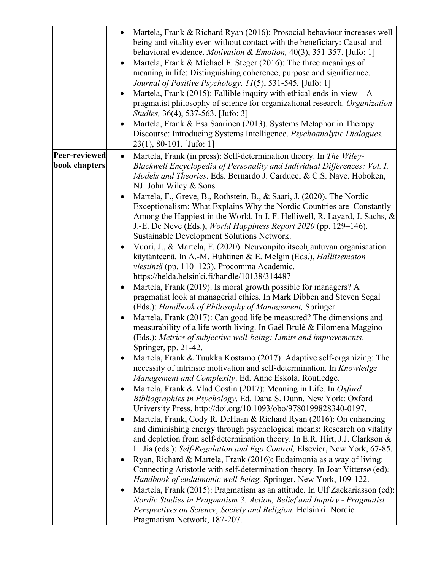|                                | Martela, Frank & Richard Ryan (2016): Prosocial behaviour increases well-<br>being and vitality even without contact with the beneficiary: Causal and<br>behavioral evidence. Motivation & Emotion, 40(3), 351-357. [Jufo: 1]<br>Martela, Frank & Michael F. Steger (2016): The three meanings of<br>meaning in life: Distinguishing coherence, purpose and significance.<br>Journal of Positive Psychology, 11(5), 531-545. [Jufo: 1]<br>Martela, Frank (2015): Fallible inquiry with ethical ends-in-view $-A$<br>pragmatist philosophy of science for organizational research. Organization<br>Studies, 36(4), 537-563. [Jufo: 3]<br>Martela, Frank & Esa Saarinen (2013). Systems Metaphor in Therapy<br>Discourse: Introducing Systems Intelligence. Psychoanalytic Dialogues,<br>$23(1), 80-101$ . [Jufo: 1]                                                                                                                                                                                                                                                                                                                                                                                                                                                                                                                                                                                                                                                                                                                                                                                                                                                                                                                                                                                                                                                                                                                                                                                                                                                                                                                                                                                                                                                                                                                                                                                                                                             |
|--------------------------------|----------------------------------------------------------------------------------------------------------------------------------------------------------------------------------------------------------------------------------------------------------------------------------------------------------------------------------------------------------------------------------------------------------------------------------------------------------------------------------------------------------------------------------------------------------------------------------------------------------------------------------------------------------------------------------------------------------------------------------------------------------------------------------------------------------------------------------------------------------------------------------------------------------------------------------------------------------------------------------------------------------------------------------------------------------------------------------------------------------------------------------------------------------------------------------------------------------------------------------------------------------------------------------------------------------------------------------------------------------------------------------------------------------------------------------------------------------------------------------------------------------------------------------------------------------------------------------------------------------------------------------------------------------------------------------------------------------------------------------------------------------------------------------------------------------------------------------------------------------------------------------------------------------------------------------------------------------------------------------------------------------------------------------------------------------------------------------------------------------------------------------------------------------------------------------------------------------------------------------------------------------------------------------------------------------------------------------------------------------------------------------------------------------------------------------------------------------------|
| Peer-reviewed<br>book chapters | Martela, Frank (in press): Self-determination theory. In The Wiley-<br>$\bullet$<br>Blackwell Encyclopedia of Personality and Individual Differences: Vol. I.<br>Models and Theories. Eds. Bernardo J. Carducci & C.S. Nave. Hoboken,<br>NJ: John Wiley & Sons.<br>Martela, F., Greve, B., Rothstein, B., & Saari, J. (2020). The Nordic<br>Exceptionalism: What Explains Why the Nordic Countries are Constantly<br>Among the Happiest in the World. In J. F. Helliwell, R. Layard, J. Sachs, $\&$<br>J.-E. De Neve (Eds.), <i>World Happiness Report 2020</i> (pp. 129–146).<br>Sustainable Development Solutions Network.<br>Vuori, J., & Martela, F. (2020). Neuvonpito itseohjautuvan organisaation<br>käytänteenä. In A.-M. Huhtinen & E. Melgin (Eds.), Hallitsematon<br>viestintä (pp. 110–123). Procomma Academic.<br>https://helda.helsinki.fi/handle/10138/314487<br>Martela, Frank (2019). Is moral growth possible for managers? A<br>pragmatist look at managerial ethics. In Mark Dibben and Steven Segal<br>(Eds.): Handbook of Philosophy of Management, Springer<br>Martela, Frank (2017): Can good life be measured? The dimensions and<br>measurability of a life worth living. In Gaël Brulé & Filomena Maggino<br>(Eds.): Metrics of subjective well-being: Limits and improvements.<br>Springer, pp. 21-42.<br>Martela, Frank & Tuukka Kostamo (2017): Adaptive self-organizing: The<br>necessity of intrinsic motivation and self-determination. In Knowledge<br>Management and Complexity. Ed. Anne Eskola. Routledge.<br>Martela, Frank & Vlad Costin (2017): Meaning in Life. In Oxford<br>Bibliographies in Psychology. Ed. Dana S. Dunn. New York: Oxford<br>University Press, http://doi.org/10.1093/obo/9780199828340-0197.<br>Martela, Frank, Cody R. DeHaan & Richard Ryan (2016): On enhancing<br>and diminishing energy through psychological means: Research on vitality<br>and depletion from self-determination theory. In E.R. Hirt, J.J. Clarkson &<br>L. Jia (eds.): Self-Regulation and Ego Control, Elsevier, New York, 67-85.<br>Ryan, Richard & Martela, Frank (2016): Eudaimonia as a way of living:<br>Connecting Aristotle with self-determination theory. In Joar Vittersø (ed):<br>Handbook of eudaimonic well-being. Springer, New York, 109-122.<br>Martela, Frank (2015): Pragmatism as an attitude. In Ulf Zackariasson (ed):<br>Nordic Studies in Pragmatism 3: Action, Belief and Inquiry - Pragmatist |
|                                | Perspectives on Science, Society and Religion. Helsinki: Nordic<br>Pragmatism Network, 187-207.                                                                                                                                                                                                                                                                                                                                                                                                                                                                                                                                                                                                                                                                                                                                                                                                                                                                                                                                                                                                                                                                                                                                                                                                                                                                                                                                                                                                                                                                                                                                                                                                                                                                                                                                                                                                                                                                                                                                                                                                                                                                                                                                                                                                                                                                                                                                                                |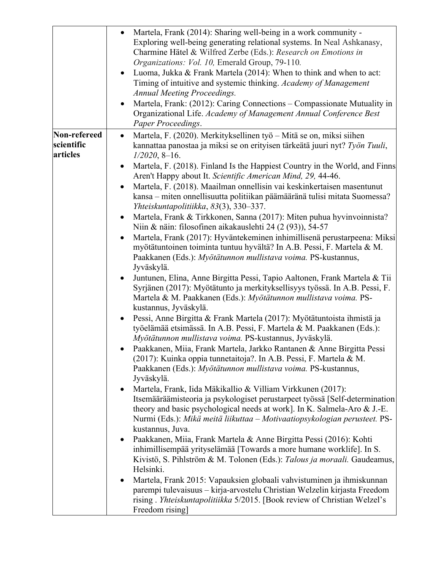| Non-refereed<br>Martela, F. (2020). Merkityksellinen työ – Mitä se on, miksi siihen<br>$\bullet$<br>scientific<br>kannattaa panostaa ja miksi se on erityisen tärkeätä juuri nyt? Työn Tuuli,<br>articles<br>$1/2020$ , 8-16.<br>Aren't Happy about It. Scientific American Mind, 29, 44-46.<br>Martela, F. (2018). Maailman onnellisin vai keskinkertaisen masentunut<br>kansa - miten onnellisuutta politiikan päämääränä tulisi mitata Suomessa?<br>Yhteiskuntapolitiikka, 83(3), 330–337.<br>Martela, Frank & Tirkkonen, Sanna (2017): Miten puhua hyvinvoinnista?<br>Niin & näin: filosofinen aikakauslehti 24 (2 (93)), 54-57<br>myötätuntoinen toiminta tuntuu hyvältä? In A.B. Pessi, F. Martela & M.<br>Paakkanen (Eds.): Myötätunnon mullistava voima. PS-kustannus,<br>Jyväskylä.<br>Juntunen, Elina, Anne Birgitta Pessi, Tapio Aaltonen, Frank Martela & Tii<br>Syrjänen (2017): Myötätunto ja merkityksellisyys työssä. In A.B. Pessi, F.                                                                                                                                                                                     | Martela, Frank (2014): Sharing well-being in a work community -<br>Exploring well-being generating relational systems. In Neal Ashkanasy,<br>Charmine Hätel & Wilfred Zerbe (Eds.): Research on Emotions in<br>Organizations: Vol. 10, Emerald Group, 79-110.<br>• Luoma, Jukka & Frank Martela (2014): When to think and when to act:<br>Timing of intuitive and systemic thinking. Academy of Management<br><b>Annual Meeting Proceedings.</b><br>Martela, Frank: (2012): Caring Connections – Compassionate Mutuality in<br>Organizational Life. Academy of Management Annual Conference Best<br>Paper Proceedings. |
|---------------------------------------------------------------------------------------------------------------------------------------------------------------------------------------------------------------------------------------------------------------------------------------------------------------------------------------------------------------------------------------------------------------------------------------------------------------------------------------------------------------------------------------------------------------------------------------------------------------------------------------------------------------------------------------------------------------------------------------------------------------------------------------------------------------------------------------------------------------------------------------------------------------------------------------------------------------------------------------------------------------------------------------------------------------------------------------------------------------------------------------------|------------------------------------------------------------------------------------------------------------------------------------------------------------------------------------------------------------------------------------------------------------------------------------------------------------------------------------------------------------------------------------------------------------------------------------------------------------------------------------------------------------------------------------------------------------------------------------------------------------------------|
| kustannus, Jyväskylä.<br>Pessi, Anne Birgitta & Frank Martela (2017): Myötätuntoista ihmistä ja<br>työelämää etsimässä. In A.B. Pessi, F. Martela & M. Paakkanen (Eds.):<br>Myötätunnon mullistava voima. PS-kustannus, Jyväskylä.<br>• Paakkanen, Miia, Frank Martela, Jarkko Rantanen & Anne Birgitta Pessi<br>(2017): Kuinka oppia tunnetaitoja?. In A.B. Pessi, F. Martela & M.<br>Paakkanen (Eds.): Myötätunnon mullistava voima. PS-kustannus,<br>Jyväskylä.<br>Martela, Frank, Iida Mäkikallio & Villiam Virkkunen (2017):<br>$\bullet$<br>theory and basic psychological needs at work]. In K. Salmela-Aro & J.-E.<br>Nurmi (Eds.): Mikä meitä liikuttaa – Motivaatiopsykologian perusteet. PS-<br>kustannus, Juva.<br>Paakkanen, Miia, Frank Martela & Anne Birgitta Pessi (2016): Kohti<br>inhimillisempää yrityselämää [Towards a more humane worklife]. In S.<br>Helsinki.<br>Martela, Frank 2015: Vapauksien globaali vahvistuminen ja ihmiskunnan<br>parempi tulevaisuus - kirja-arvostelu Christian Welzelin kirjasta Freedom<br>rising. Yhteiskuntapolitiikka 5/2015. [Book review of Christian Welzel's<br>Freedom rising] | Martela, F. (2018). Finland Is the Happiest Country in the World, and Finns<br>Martela, Frank (2017): Hyväntekeminen inhimillisenä perustarpeena: Miksi<br>Martela & M. Paakkanen (Eds.): Myötätunnon mullistava voima. PS-<br>Itsemääräämisteoria ja psykologiset perustarpeet työssä [Self-determination<br>Kivistö, S. Pihlström & M. Tolonen (Eds.): Talous ja moraali. Gaudeamus,                                                                                                                                                                                                                                 |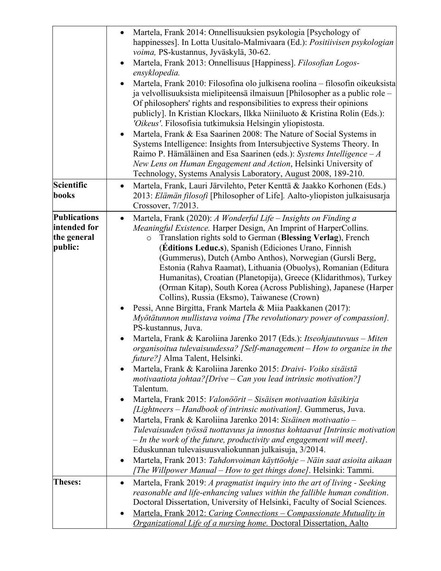|                                                               | Martela, Frank 2014: Onnellisuuksien psykologia [Psychology of<br>happinesses]. In Lotta Uusitalo-Malmivaara (Ed.): Positiivisen psykologian<br>voima, PS-kustannus, Jyväskylä, 30-62.<br>Martela, Frank 2013: Onnellisuus [Happiness]. Filosofian Logos-<br>ensyklopedia.<br>Martela, Frank 2010: Filosofina olo julkisena roolina – filosofin oikeuksista<br>ja velvollisuuksista mielipiteensä ilmaisuun [Philosopher as a public role –<br>Of philosophers' rights and responsibilities to express their opinions<br>publicly]. In Kristian Klockars, Ilkka Niiniluoto & Kristina Rolin (Eds.):<br>'Oikeus'. Filosofisia tutkimuksia Helsingin yliopistosta.<br>Martela, Frank & Esa Saarinen 2008: The Nature of Social Systems in<br>Systems Intelligence: Insights from Intersubjective Systems Theory. In<br>Raimo P. Hämäläinen and Esa Saarinen (eds.): Systems Intelligence $-A$<br>New Lens on Human Engagement and Action, Helsinki University of<br>Technology, Systems Analysis Laboratory, August 2008, 189-210.                                                                                                                                                                                                                                                                                                                                                                                                                                                                                                                                                                                                                                                                 |
|---------------------------------------------------------------|--------------------------------------------------------------------------------------------------------------------------------------------------------------------------------------------------------------------------------------------------------------------------------------------------------------------------------------------------------------------------------------------------------------------------------------------------------------------------------------------------------------------------------------------------------------------------------------------------------------------------------------------------------------------------------------------------------------------------------------------------------------------------------------------------------------------------------------------------------------------------------------------------------------------------------------------------------------------------------------------------------------------------------------------------------------------------------------------------------------------------------------------------------------------------------------------------------------------------------------------------------------------------------------------------------------------------------------------------------------------------------------------------------------------------------------------------------------------------------------------------------------------------------------------------------------------------------------------------------------------------------------------------------------------------------------------------|
| Scientific<br>books                                           | Martela, Frank, Lauri Järvilehto, Peter Kenttä & Jaakko Korhonen (Eds.)<br>$\bullet$<br>2013: Elämän filosofi [Philosopher of Life]. Aalto-yliopiston julkaisusarja<br>Crossover, 7/2013.                                                                                                                                                                                                                                                                                                                                                                                                                                                                                                                                                                                                                                                                                                                                                                                                                                                                                                                                                                                                                                                                                                                                                                                                                                                                                                                                                                                                                                                                                                        |
| <b>Publications</b><br>intended for<br>the general<br>public: | Martela, Frank (2020): A Wonderful Life - Insights on Finding a<br>٠<br>Meaningful Existence. Harper Design, An Imprint of HarperCollins.<br>Translation rights sold to German (Blessing Verlag), French<br>$\circ$<br>(Editions Leduc.s), Spanish (Ediciones Urano, Finnish<br>(Gummerus), Dutch (Ambo Anthos), Norwegian (Gursli Berg,<br>Estonia (Rahva Raamat), Lithuania (Obuolys), Romanian (Editura<br>Humanitas), Croatian (Planetopija), Greece (Klidarithmos), Turkey<br>(Orman Kitap), South Korea (Across Publishing), Japanese (Harper<br>Collins), Russia (Eksmo), Taiwanese (Crown)<br>Pessi, Anne Birgitta, Frank Martela & Miia Paakkanen (2017):<br>Myötätunnon mullistava voima [The revolutionary power of compassion].<br>PS-kustannus, Juva.<br>Martela, Frank & Karoliina Jarenko 2017 (Eds.): Itseohjautuvuus – Miten<br>organisoitua tulevaisuudessa? [Self-management - How to organize in the<br><i>future?</i> Alma Talent, Helsinki.<br>Martela, Frank & Karoliina Jarenko 2015: Draivi- Voiko sisäistä<br>motivaatiota johtaa? [Drive – Can you lead intrinsic motivation?]<br>Talentum.<br>Martela, Frank 2015: Valonöörit – Sisäisen motivaation käsikirja<br>[Lightneers – Handbook of intrinsic motivation]. Gummerus, Juva.<br>Martela, Frank & Karoliina Jarenko 2014: Sisäinen motivaatio -<br>Tulevaisuuden työssä tuottavuus ja innostus kohtaavat [Intrinsic motivation<br>- In the work of the future, productivity and engagement will meet].<br>Eduskunnan tulevaisuusvaliokunnan julkaisuja, 3/2014.<br>Martela, Frank 2013: Tahdonvoiman käyttöohje – Näin saat asioita aikaan<br>[The Willpower Manual – How to get things done]. Helsinki: Tammi. |
| <b>Theses:</b>                                                | Martela, Frank 2019: A pragmatist inquiry into the art of living - Seeking<br>$\bullet$<br>reasonable and life-enhancing values within the fallible human condition.<br>Doctoral Dissertation, University of Helsinki, Faculty of Social Sciences.                                                                                                                                                                                                                                                                                                                                                                                                                                                                                                                                                                                                                                                                                                                                                                                                                                                                                                                                                                                                                                                                                                                                                                                                                                                                                                                                                                                                                                               |
|                                                               | Martela, Frank 2012: Caring Connections – Compassionate Mutuality in<br>Organizational Life of a nursing home. Doctoral Dissertation, Aalto                                                                                                                                                                                                                                                                                                                                                                                                                                                                                                                                                                                                                                                                                                                                                                                                                                                                                                                                                                                                                                                                                                                                                                                                                                                                                                                                                                                                                                                                                                                                                      |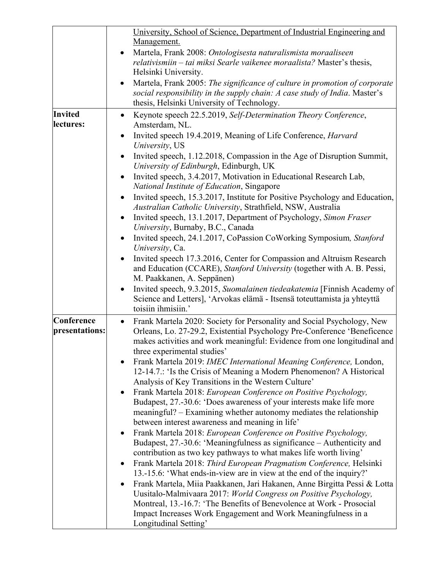|                             | University, School of Science, Department of Industrial Engineering and                                                                                                   |
|-----------------------------|---------------------------------------------------------------------------------------------------------------------------------------------------------------------------|
|                             | Management.                                                                                                                                                               |
|                             | Martela, Frank 2008: Ontologisesta naturalismista moraaliseen                                                                                                             |
|                             | relativismiin – tai miksi Searle vaikenee moraalista? Master's thesis,                                                                                                    |
|                             | Helsinki University.                                                                                                                                                      |
|                             | Martela, Frank 2005: The significance of culture in promotion of corporate                                                                                                |
|                             | social responsibility in the supply chain: A case study of India. Master's                                                                                                |
|                             | thesis, Helsinki University of Technology.                                                                                                                                |
| <b>Invited</b><br>lectures: | Keynote speech 22.5.2019, Self-Determination Theory Conference,<br>$\bullet$<br>Amsterdam, NL.                                                                            |
|                             | Invited speech 19.4.2019, Meaning of Life Conference, Harvard                                                                                                             |
|                             | University, US                                                                                                                                                            |
|                             | Invited speech, 1.12.2018, Compassion in the Age of Disruption Summit,<br>University of Edinburgh, Edinburgh, UK                                                          |
|                             | Invited speech, 3.4.2017, Motivation in Educational Research Lab,<br>National Institute of Education, Singapore                                                           |
|                             | Invited speech, 15.3.2017, Institute for Positive Psychology and Education,                                                                                               |
|                             | Australian Catholic University, Strathfield, NSW, Australia                                                                                                               |
|                             | Invited speech, 13.1.2017, Department of Psychology, Simon Fraser<br>University, Burnaby, B.C., Canada                                                                    |
|                             | Invited speech, 24.1.2017, CoPassion CoWorking Symposium, Stanford<br>University, Ca.                                                                                     |
|                             | Invited speech 17.3.2016, Center for Compassion and Altruism Research                                                                                                     |
|                             | and Education (CCARE), Stanford University (together with A. B. Pessi,                                                                                                    |
|                             | M. Paakkanen, A. Seppänen)                                                                                                                                                |
|                             | Invited speech, 9.3.2015, Suomalainen tiedeakatemia [Finnish Academy of<br>Science and Letters], 'Arvokas elämä - Itsensä toteuttamista ja yhteyttä<br>toisiin ihmisiin.' |
|                             |                                                                                                                                                                           |
| Conference                  | Frank Martela 2020: Society for Personality and Social Psychology, New<br>$\bullet$                                                                                       |
| presentations:              | Orleans, Lo. 27-29.2, Existential Psychology Pre-Conference 'Beneficence<br>makes activities and work meaningful: Evidence from one longitudinal and                      |
|                             | three experimental studies'                                                                                                                                               |
|                             | Frank Martela 2019: IMEC International Meaning Conference, London,                                                                                                        |
|                             | 12-14.7.: 'Is the Crisis of Meaning a Modern Phenomenon? A Historical                                                                                                     |
|                             | Analysis of Key Transitions in the Western Culture'                                                                                                                       |
|                             | Frank Martela 2018: European Conference on Positive Psychology,<br>$\bullet$                                                                                              |
|                             | Budapest, 27.-30.6: 'Does awareness of your interests make life more                                                                                                      |
|                             | meaningful? - Examining whether autonomy mediates the relationship<br>between interest awareness and meaning in life'                                                     |
|                             | Frank Martela 2018: European Conference on Positive Psychology,                                                                                                           |
|                             | Budapest, 27.-30.6: 'Meaningfulness as significance – Authenticity and                                                                                                    |
|                             | contribution as two key pathways to what makes life worth living'                                                                                                         |
|                             | Frank Martela 2018: Third European Pragmatism Conference, Helsinki                                                                                                        |
|                             | 13.-15.6: 'What ends-in-view are in view at the end of the inquiry?'                                                                                                      |
|                             | Frank Martela, Miia Paakkanen, Jari Hakanen, Anne Birgitta Pessi & Lotta                                                                                                  |
|                             | Uusitalo-Malmivaara 2017: World Congress on Positive Psychology,                                                                                                          |
|                             | Montreal, 13.-16.7: 'The Benefits of Benevolence at Work - Prosocial                                                                                                      |
|                             | Impact Increases Work Engagement and Work Meaningfulness in a                                                                                                             |
|                             | Longitudinal Setting'                                                                                                                                                     |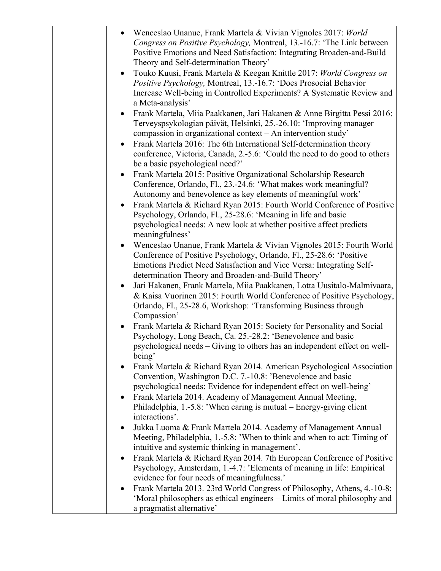|           | Wenceslao Unanue, Frank Martela & Vivian Vignoles 2017: World<br>Congress on Positive Psychology, Montreal, 13.-16.7: 'The Link between<br>Positive Emotions and Need Satisfaction: Integrating Broaden-and-Build<br>Theory and Self-determination Theory'                |
|-----------|---------------------------------------------------------------------------------------------------------------------------------------------------------------------------------------------------------------------------------------------------------------------------|
| $\bullet$ | Touko Kuusi, Frank Martela & Keegan Knittle 2017: World Congress on<br>Positive Psychology, Montreal, 13.-16.7: 'Does Prosocial Behavior<br>Increase Well-being in Controlled Experiments? A Systematic Review and<br>a Meta-analysis'                                    |
| $\bullet$ | Frank Martela, Miia Paakkanen, Jari Hakanen & Anne Birgitta Pessi 2016:<br>Terveyspsykologian päivät, Helsinki, 25.-26.10: 'Improving manager<br>compassion in organizational context - An intervention study'                                                            |
|           | Frank Martela 2016: The 6th International Self-determination theory<br>conference, Victoria, Canada, 2.-5.6: 'Could the need to do good to others<br>be a basic psychological need?'                                                                                      |
| $\bullet$ | Frank Martela 2015: Positive Organizational Scholarship Research<br>Conference, Orlando, Fl., 23.-24.6: 'What makes work meaningful?<br>Autonomy and benevolence as key elements of meaningful work'                                                                      |
| $\bullet$ | Frank Martela & Richard Ryan 2015: Fourth World Conference of Positive<br>Psychology, Orlando, Fl., 25-28.6: 'Meaning in life and basic<br>psychological needs: A new look at whether positive affect predicts<br>meaningfulness'                                         |
|           | Wenceslao Unanue, Frank Martela & Vivian Vignoles 2015: Fourth World<br>Conference of Positive Psychology, Orlando, Fl., 25-28.6: 'Positive<br>Emotions Predict Need Satisfaction and Vice Versa: Integrating Self-<br>determination Theory and Broaden-and-Build Theory' |
| $\bullet$ | Jari Hakanen, Frank Martela, Miia Paakkanen, Lotta Uusitalo-Malmivaara,<br>& Kaisa Vuorinen 2015: Fourth World Conference of Positive Psychology,<br>Orlando, Fl., 25-28.6, Workshop: 'Transforming Business through<br>Compassion'                                       |
| $\bullet$ | Frank Martela & Richard Ryan 2015: Society for Personality and Social<br>Psychology, Long Beach, Ca. 25.-28.2: 'Benevolence and basic<br>psychological needs – Giving to others has an independent effect on well-<br>being'                                              |
| ٠         | Frank Martela & Richard Ryan 2014. American Psychological Association<br>Convention, Washington D.C. 7.-10.8: 'Benevolence and basic<br>psychological needs: Evidence for independent effect on well-being'                                                               |
| $\bullet$ | Frank Martela 2014. Academy of Management Annual Meeting,<br>Philadelphia, 1.-5.8: 'When caring is mutual – Energy-giving client<br>interactions'.                                                                                                                        |
| $\bullet$ | Jukka Luoma & Frank Martela 2014. Academy of Management Annual<br>Meeting, Philadelphia, 1.-5.8: 'When to think and when to act: Timing of<br>intuitive and systemic thinking in management'.                                                                             |
| $\bullet$ | Frank Martela & Richard Ryan 2014. 7th European Conference of Positive<br>Psychology, Amsterdam, 1.-4.7: 'Elements of meaning in life: Empirical<br>evidence for four needs of meaningfulness.'                                                                           |
| $\bullet$ | Frank Martela 2013. 23rd World Congress of Philosophy, Athens, 4.-10-8:<br>'Moral philosophers as ethical engineers – Limits of moral philosophy and<br>a pragmatist alternative'                                                                                         |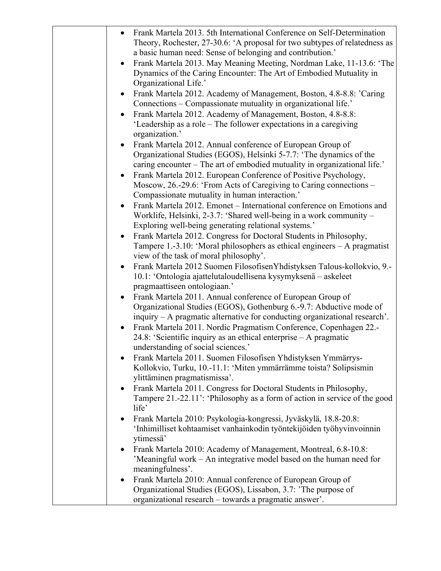| Frank Martela 2013. 5th International Conference on Self-Determination<br>Theory, Rochester, 27-30.6: 'A proposal for two subtypes of relatedness as   |
|--------------------------------------------------------------------------------------------------------------------------------------------------------|
| a basic human need: Sense of belonging and contribution.'                                                                                              |
| Frank Martela 2013. May Meaning Meeting, Nordman Lake, 11-13.6: 'The<br>$\bullet$                                                                      |
| Dynamics of the Caring Encounter: The Art of Embodied Mutuality in                                                                                     |
| Organizational Life.'                                                                                                                                  |
| Frank Martela 2012. Academy of Management, Boston, 4.8-8.8: 'Caring<br>Connections – Compassionate mutuality in organizational life.'                  |
| Frank Martela 2012. Academy of Management, Boston, 4.8-8.8:                                                                                            |
| 'Leadership as a role – The follower expectations in a caregiving<br>organization.'                                                                    |
| Frank Martela 2012. Annual conference of European Group of                                                                                             |
| Organizational Studies (EGOS), Helsinki 5-7.7: 'The dynamics of the                                                                                    |
| caring encounter – The art of embodied mutuality in organizational life.'                                                                              |
| Frank Martela 2012. European Conference of Positive Psychology,                                                                                        |
| Moscow, 26.-29.6: 'From Acts of Caregiving to Caring connections -<br>Compassionate mutuality in human interaction.'                                   |
| Frank Martela 2012. Emonet - International conference on Emotions and                                                                                  |
| Worklife, Helsinki, 2-3.7: 'Shared well-being in a work community –                                                                                    |
| Exploring well-being generating relational systems.'                                                                                                   |
| Frank Martela 2012. Congress for Doctoral Students in Philosophy,<br>$\bullet$                                                                         |
| Tampere 1.-3.10: 'Moral philosophers as ethical engineers - A pragmatist                                                                               |
| view of the task of moral philosophy'.                                                                                                                 |
| Frank Martela 2012 Suomen Filosofisen Yhdistyksen Talous-kollokvio, 9.-<br>$\bullet$<br>10.1: 'Ontologia ajattelutaloudellisena kysymyksenä – askeleet |
| pragmaattiseen ontologiaan.'                                                                                                                           |
| Frank Martela 2011. Annual conference of European Group of                                                                                             |
| Organizational Studies (EGOS), Gothenburg 6.-9.7: Abductive mode of                                                                                    |
| inquiry - A pragmatic alternative for conducting organizational research'.                                                                             |
| Frank Martela 2011. Nordic Pragmatism Conference, Copenhagen 22.-<br>$\bullet$                                                                         |
| 24.8: 'Scientific inquiry as an ethical enterprise - A pragmatic                                                                                       |
| understanding of social sciences.'                                                                                                                     |
| Frank Martela 2011. Suomen Filosofisen Yhdistyksen Ymmärrys-                                                                                           |
| Kollokvio, Turku, 10.-11.1: 'Miten ymmärrämme toista? Solipsismin                                                                                      |
| ylittäminen pragmatismissa'.                                                                                                                           |
| Frank Martela 2011. Congress for Doctoral Students in Philosophy,<br>$\bullet$                                                                         |
| Tampere 21.-22.11': 'Philosophy as a form of action in service of the good<br>life'                                                                    |
| Frank Martela 2010: Psykologia-kongressi, Jyväskylä, 18.8-20.8:<br>$\bullet$                                                                           |
| 'Inhimilliset kohtaamiset vanhainkodin työntekijöiden työhyvinvoinnin<br>ytimessä'                                                                     |
| Frank Martela 2010: Academy of Management, Montreal, 6.8-10.8:<br>$\bullet$                                                                            |
| 'Meaningful work – An integrative model based on the human need for<br>meaningfulness'.                                                                |
| Frank Martela 2010: Annual conference of European Group of<br>$\bullet$                                                                                |
| Organizational Studies (EGOS), Lissabon, 3.7: 'The purpose of                                                                                          |
| organizational research - towards a pragmatic answer'.                                                                                                 |